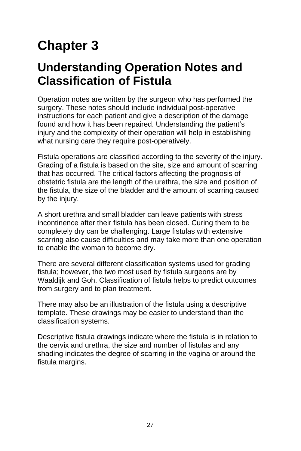# **Chapter 3**

# **Understanding Operation Notes and Classification of Fistula**

Operation notes are written by the surgeon who has performed the surgery. These notes should include individual post-operative instructions for each patient and give a description of the damage found and how it has been repaired. Understanding the patient's injury and the complexity of their operation will help in establishing what nursing care they require post-operatively.

Fistula operations are classified according to the severity of the injury. Grading of a fistula is based on the site, size and amount of scarring that has occurred. The critical factors affecting the prognosis of obstetric fistula are the length of the urethra, the size and position of the fistula, the size of the bladder and the amount of scarring caused by the injury.

A short urethra and small bladder can leave patients with stress incontinence after their fistula has been closed. Curing them to be completely dry can be challenging. Large fistulas with extensive scarring also cause difficulties and may take more than one operation to enable the woman to become dry.

There are several different classification systems used for grading fistula; however, the two most used by fistula surgeons are by Waaldijk and Goh. Classification of fistula helps to predict outcomes from surgery and to plan treatment.

There may also be an illustration of the fistula using a descriptive template. These drawings may be easier to understand than the classification systems.

Descriptive fistula drawings indicate where the fistula is in relation to the cervix and urethra, the size and number of fistulas and any shading indicates the degree of scarring in the vagina or around the fistula margins.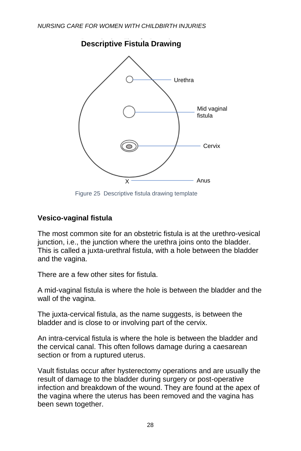

#### **Descriptive Fistula Drawing**

Figure 25 Descriptive fistula drawing template

# **Vesico-vaginal fistula**

The most common site for an obstetric fistula is at the urethro-vesical junction, i.e., the junction where the urethra joins onto the bladder. This is called a juxta-urethral fistula, with a hole between the bladder and the vagina.

There are a few other sites for fistula.

A mid-vaginal fistula is where the hole is between the bladder and the wall of the vagina.

The juxta-cervical fistula, as the name suggests, is between the bladder and is close to or involving part of the cervix.

An intra-cervical fistula is where the hole is between the bladder and the cervical canal. This often follows damage during a caesarean section or from a ruptured uterus.

Vault fistulas occur after hysterectomy operations and are usually the result of damage to the bladder during surgery or post-operative infection and breakdown of the wound. They are found at the apex of the vagina where the uterus has been removed and the vagina has been sewn together.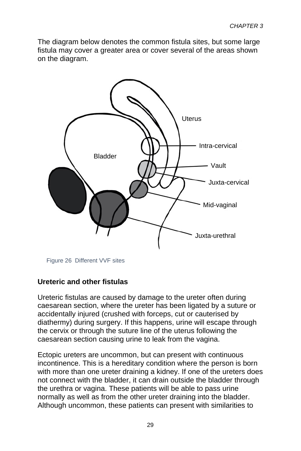The diagram below denotes the common fistula sites, but some large fistula may cover a greater area or cover several of the areas shown on the diagram.



Figure 26 Different VVF sites

#### **Ureteric and other fistulas**

Ureteric fistulas are caused by damage to the ureter often during caesarean section, where the ureter has been ligated by a suture or accidentally injured (crushed with forceps, cut or cauterised by diathermy) during surgery. If this happens, urine will escape through the cervix or through the suture line of the uterus following the caesarean section causing urine to leak from the vagina.

Ectopic ureters are uncommon, but can present with continuous incontinence. This is a hereditary condition where the person is born with more than one ureter draining a kidney. If one of the ureters does not connect with the bladder, it can drain outside the bladder through the urethra or vagina. These patients will be able to pass urine normally as well as from the other ureter draining into the bladder. Although uncommon, these patients can present with similarities to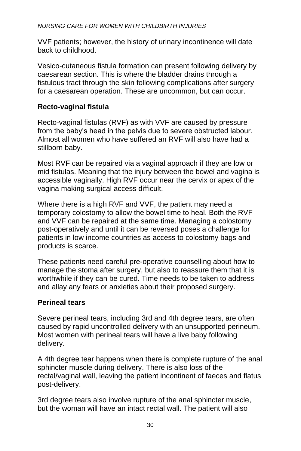VVF patients; however, the history of urinary incontinence will date back to childhood.

Vesico-cutaneous fistula formation can present following delivery by caesarean section. This is where the bladder drains through a fistulous tract through the skin following complications after surgery for a caesarean operation. These are uncommon, but can occur.

# **Recto-vaginal fistula**

Recto-vaginal fistulas (RVF) as with VVF are caused by pressure from the baby's head in the pelvis due to severe obstructed labour. Almost all women who have suffered an RVF will also have had a stillborn baby.

Most RVF can be repaired via a vaginal approach if they are low or mid fistulas. Meaning that the injury between the bowel and vagina is accessible vaginally. High RVF occur near the cervix or apex of the vagina making surgical access difficult.

Where there is a high RVF and VVF, the patient may need a temporary colostomy to allow the bowel time to heal. Both the RVF and VVF can be repaired at the same time. Managing a colostomy post-operatively and until it can be reversed poses a challenge for patients in low income countries as access to colostomy bags and products is scarce.

These patients need careful pre-operative counselling about how to manage the stoma after surgery, but also to reassure them that it is worthwhile if they can be cured. Time needs to be taken to address and allay any fears or anxieties about their proposed surgery.

## **Perineal tears**

Severe perineal tears, including 3rd and 4th degree tears, are often caused by rapid uncontrolled delivery with an unsupported perineum. Most women with perineal tears will have a live baby following delivery.

A 4th degree tear happens when there is complete rupture of the anal sphincter muscle during delivery. There is also loss of the rectal/vaginal wall, leaving the patient incontinent of faeces and flatus post-delivery.

3rd degree tears also involve rupture of the anal sphincter muscle, but the woman will have an intact rectal wall. The patient will also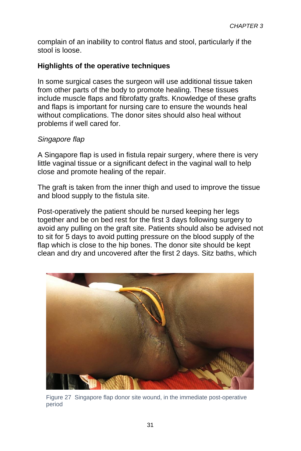complain of an inability to control flatus and stool, particularly if the stool is loose.

# **Highlights of the operative techniques**

In some surgical cases the surgeon will use additional tissue taken from other parts of the body to promote healing. These tissues include muscle flaps and fibrofatty grafts. Knowledge of these grafts and flaps is important for nursing care to ensure the wounds heal without complications. The donor sites should also heal without problems if well cared for.

## *Singapore flap*

A Singapore flap is used in fistula repair surgery, where there is very little vaginal tissue or a significant defect in the vaginal wall to help close and promote healing of the repair.

The graft is taken from the inner thigh and used to improve the tissue and blood supply to the fistula site.

Post-operatively the patient should be nursed keeping her legs together and be on bed rest for the first 3 days following surgery to avoid any pulling on the graft site. Patients should also be advised not to sit for 5 days to avoid putting pressure on the blood supply of the flap which is close to the hip bones. The donor site should be kept clean and dry and uncovered after the first 2 days. Sitz baths, which



Figure 27 Singapore flap donor site wound, in the immediate post-operative period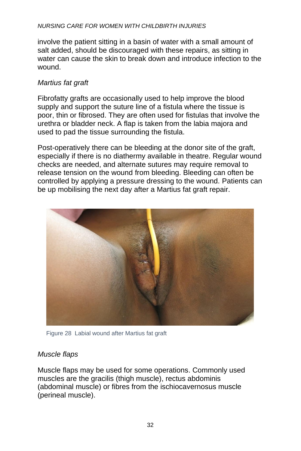#### *NURSING CARE FOR WOMEN WITH CHILDBIRTH INJURIES*

involve the patient sitting in a basin of water with a small amount of salt added, should be discouraged with these repairs, as sitting in water can cause the skin to break down and introduce infection to the wound.

## *Martius fat graft*

Fibrofatty grafts are occasionally used to help improve the blood supply and support the suture line of a fistula where the tissue is poor, thin or fibrosed. They are often used for fistulas that involve the urethra or bladder neck. A flap is taken from the labia majora and used to pad the tissue surrounding the fistula.

Post-operatively there can be bleeding at the donor site of the graft, especially if there is no diathermy available in theatre. Regular wound checks are needed, and alternate sutures may require removal to release tension on the wound from bleeding. Bleeding can often be controlled by applying a pressure dressing to the wound. Patients can be up mobilising the next day after a Martius fat graft repair.



Figure 28 Labial wound after Martius fat graft

## *Muscle flaps*

Muscle flaps may be used for some operations. Commonly used muscles are the gracilis (thigh muscle), rectus abdominis (abdominal muscle) or fibres from the ischiocavernosus muscle (perineal muscle).